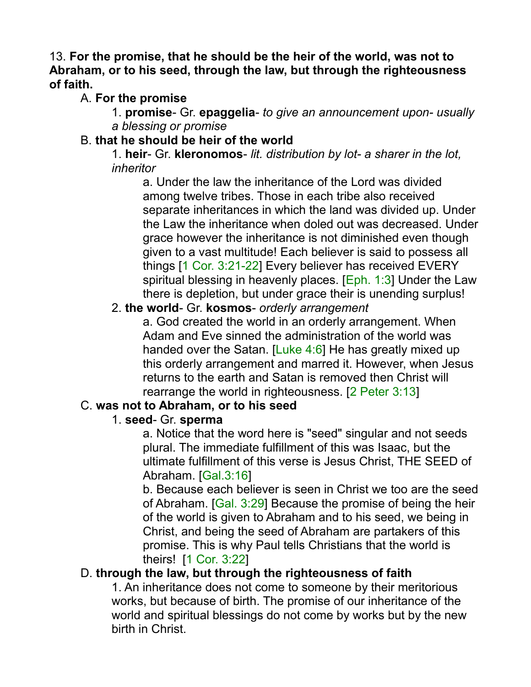13. **For the promise, that he should be the heir of the world, was not to Abraham, or to his seed, through the law, but through the righteousness of faith.** 

### A. **For the promise**

1. **promise**- Gr. **epaggelia**- *to give an announcement upon- usually a blessing or promise*

### B. **that he should be heir of the world**

1. **heir**- Gr. **kleronomos**- *lit. distribution by lot- a sharer in the lot, inheritor*

a. Under the law the inheritance of the Lord was divided among twelve tribes. Those in each tribe also received separate inheritances in which the land was divided up. Under the Law the inheritance when doled out was decreased. Under grace however the inheritance is not diminished even though given to a vast multitude! Each believer is said to possess all things [1 Cor. 3:21-22] Every believer has received EVERY spiritual blessing in heavenly places.  $[Eph. 1:3]$  Under the Law there is depletion, but under grace their is unending surplus!

#### 2. **the world**- Gr. **kosmos**- *orderly arrangement*

a. God created the world in an orderly arrangement. When Adam and Eve sinned the administration of the world was handed over the Satan. [Luke 4:6] He has greatly mixed up this orderly arrangement and marred it. However, when Jesus returns to the earth and Satan is removed then Christ will rearrange the world in righteousness. [2 Peter 3:13]

### C. **was not to Abraham, or to his seed**

#### 1. **seed**- Gr. **sperma**

a. Notice that the word here is "seed" singular and not seeds plural. The immediate fulfillment of this was Isaac, but the ultimate fulfillment of this verse is Jesus Christ, THE SEED of Abraham. [Gal.3:16]

b. Because each believer is seen in Christ we too are the seed of Abraham. [Gal. 3:29] Because the promise of being the heir of the world is given to Abraham and to his seed, we being in Christ, and being the seed of Abraham are partakers of this promise. This is why Paul tells Christians that the world is theirs! [1 Cor. 3:22]

### D. **through the law, but through the righteousness of faith**

1. An inheritance does not come to someone by their meritorious works, but because of birth. The promise of our inheritance of the world and spiritual blessings do not come by works but by the new birth in Christ.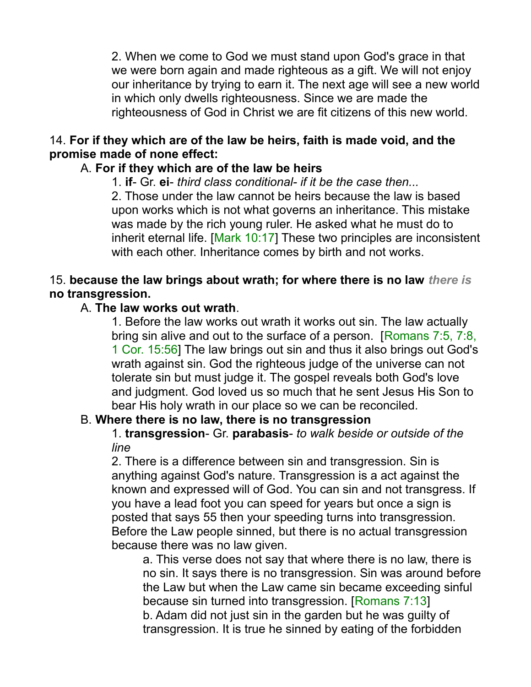2. When we come to God we must stand upon God's grace in that we were born again and made righteous as a gift. We will not enjoy our inheritance by trying to earn it. The next age will see a new world in which only dwells righteousness. Since we are made the righteousness of God in Christ we are fit citizens of this new world.

#### 14. **For if they which are of the law be heirs, faith is made void, and the promise made of none effect:**

### A. **For if they which are of the law be heirs**

1. **if**- Gr. **ei**- *third class conditional- if it be the case then...*

2. Those under the law cannot be heirs because the law is based upon works which is not what governs an inheritance. This mistake was made by the rich young ruler. He asked what he must do to inherit eternal life. [Mark 10:17] These two principles are inconsistent with each other. Inheritance comes by birth and not works.

### 15. **because the law brings about wrath; for where there is no law** *there is* **no transgression.**

#### A. **The law works out wrath**.

1. Before the law works out wrath it works out sin. The law actually bring sin alive and out to the surface of a person. [Romans 7:5, 7:8, 1 Cor. 15:56] The law brings out sin and thus it also brings out God's wrath against sin. God the righteous judge of the universe can not tolerate sin but must judge it. The gospel reveals both God's love and judgment. God loved us so much that he sent Jesus His Son to bear His holy wrath in our place so we can be reconciled.

#### B. **Where there is no law, there is no transgression**

1. **transgression**- Gr. **parabasis**- *to walk beside or outside of the line*

2. There is a difference between sin and transgression. Sin is anything against God's nature. Transgression is a act against the known and expressed will of God. You can sin and not transgress. If you have a lead foot you can speed for years but once a sign is posted that says 55 then your speeding turns into transgression. Before the Law people sinned, but there is no actual transgression because there was no law given.

a. This verse does not say that where there is no law, there is no sin. It says there is no transgression. Sin was around before the Law but when the Law came sin became exceeding sinful because sin turned into transgression. [Romans 7:13] b. Adam did not just sin in the garden but he was guilty of transgression. It is true he sinned by eating of the forbidden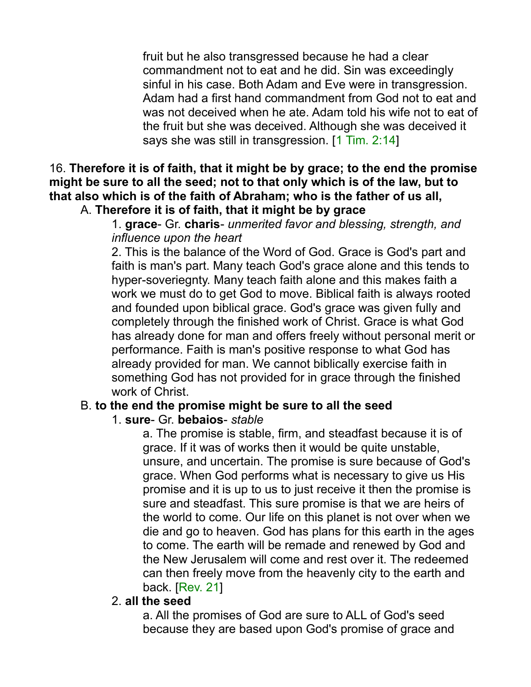fruit but he also transgressed because he had a clear commandment not to eat and he did. Sin was exceedingly sinful in his case. Both Adam and Eve were in transgression. Adam had a first hand commandment from God not to eat and was not deceived when he ate. Adam told his wife not to eat of the fruit but she was deceived. Although she was deceived it says she was still in transgression. [1 Tim. 2:14]

16. **Therefore it is of faith, that it might be by grace; to the end the promise might be sure to all the seed; not to that only which is of the law, but to that also which is of the faith of Abraham; who is the father of us all,**

## A. **Therefore it is of faith, that it might be by grace**

1. **grace**- Gr. **charis**- *unmerited favor and blessing, strength, and influence upon the heart*

2. This is the balance of the Word of God. Grace is God's part and faith is man's part. Many teach God's grace alone and this tends to hyper-soveriegnty. Many teach faith alone and this makes faith a work we must do to get God to move. Biblical faith is always rooted and founded upon biblical grace. God's grace was given fully and completely through the finished work of Christ. Grace is what God has already done for man and offers freely without personal merit or performance. Faith is man's positive response to what God has already provided for man. We cannot biblically exercise faith in something God has not provided for in grace through the finished work of Christ.

#### B. **to the end the promise might be sure to all the seed**

#### 1. **sure**- Gr. **bebaios**- *stable*

a. The promise is stable, firm, and steadfast because it is of grace. If it was of works then it would be quite unstable, unsure, and uncertain. The promise is sure because of God's grace. When God performs what is necessary to give us His promise and it is up to us to just receive it then the promise is sure and steadfast. This sure promise is that we are heirs of the world to come. Our life on this planet is not over when we die and go to heaven. God has plans for this earth in the ages to come. The earth will be remade and renewed by God and the New Jerusalem will come and rest over it. The redeemed can then freely move from the heavenly city to the earth and back. [Rev. 21]

#### 2. **all the seed**

a. All the promises of God are sure to ALL of God's seed because they are based upon God's promise of grace and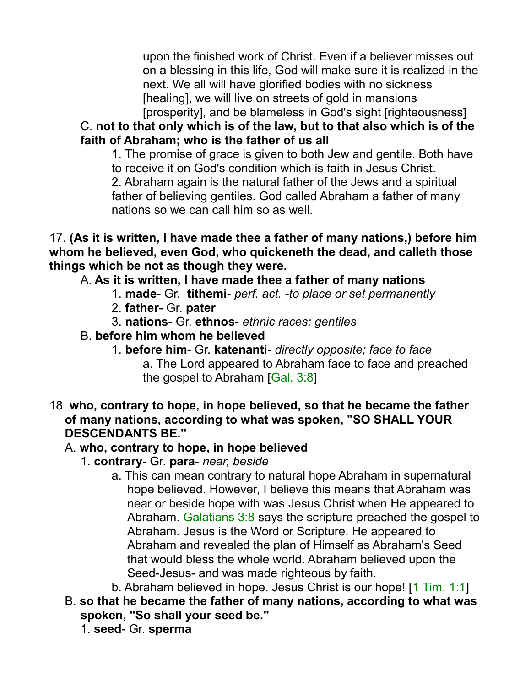upon the finished work of Christ. Even if a believer misses out on a blessing in this life, God will make sure it is realized in the next. We all will have glorified bodies with no sickness [healing], we will live on streets of gold in mansions [prosperity], and be blameless in God's sight [righteousness]

C. **not to that only which is of the law, but to that also which is of the faith of Abraham; who is the father of us all**

1. The promise of grace is given to both Jew and gentile. Both have to receive it on God's condition which is faith in Jesus Christ.

2. Abraham again is the natural father of the Jews and a spiritual father of believing gentiles. God called Abraham a father of many nations so we can call him so as well.

17. **(As it is written, I have made thee a father of many nations,) before him whom he believed, even God, who quickeneth the dead, and calleth those things which be not as though they were.**

A. **As it is written, I have made thee a father of many nations**

- 1. **made** Gr. **tithemi** *perf. act. -to place or set permanently*
- 2. **father** Gr. **pater**
- 3. **nations** Gr. **ethnos** *ethnic races; gentiles*
- B. **before him whom he believed**
	- 1. **before him** Gr. **katenanti** *directly opposite; face to face* a. The Lord appeared to Abraham face to face and preached the gospel to Abraham [Gal. 3:8]
- 18 **who, contrary to hope, in hope believed, so that he became the father of many nations, according to what was spoken, "SO SHALL YOUR DESCENDANTS BE."**

# A. **who, contrary to hope, in hope believed**

- 1. **contrary** Gr. **para** *near, beside*
	- a. This can mean contrary to natural hope Abraham in supernatural hope believed. However, I believe this means that Abraham was near or beside hope with was Jesus Christ when He appeared to Abraham. Galatians 3:8 says the scripture preached the gospel to Abraham. Jesus is the Word or Scripture. He appeared to Abraham and revealed the plan of Himself as Abraham's Seed that would bless the whole world. Abraham believed upon the Seed-Jesus- and was made righteous by faith.
	- b. Abraham believed in hope. Jesus Christ is our hope! [1 Tim. 1:1]
- B. **so that he became the father of many nations, according to what was spoken, "So shall your seed be."**
	- 1. **seed** Gr. **sperma**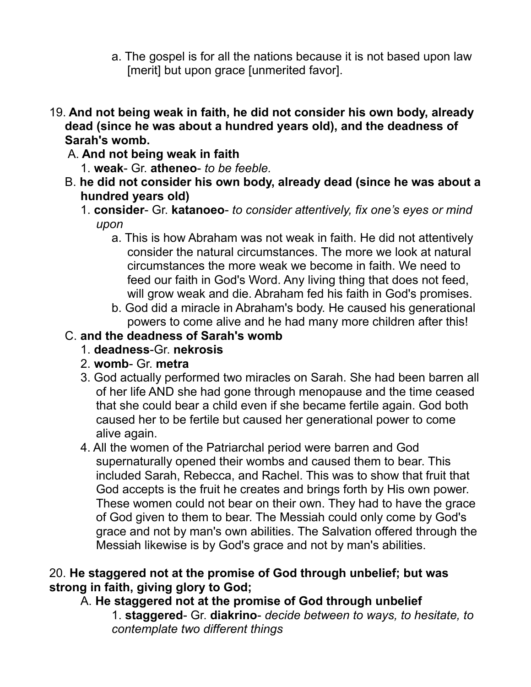- a. The gospel is for all the nations because it is not based upon law [merit] but upon grace [unmerited favor].
- 19. **And not being weak in faith, he did not consider his own body, already dead (since he was about a hundred years old), and the deadness of Sarah's womb.**
	- A. **And not being weak in faith**
		- 1. **weak** Gr. **atheneo** *to be feeble.*
	- B. **he did not consider his own body, already dead (since he was about a hundred years old)**
		- 1. **consider** Gr. **katanoeo** *to consider attentively, fix one's eyes or mind upon*
			- a. This is how Abraham was not weak in faith. He did not attentively consider the natural circumstances. The more we look at natural circumstances the more weak we become in faith. We need to feed our faith in God's Word. Any living thing that does not feed, will grow weak and die. Abraham fed his faith in God's promises.
			- b. God did a miracle in Abraham's body. He caused his generational powers to come alive and he had many more children after this!

### C. **and the deadness of Sarah's womb**

- 1. **deadness**-Gr. **nekrosis**
- 2. **womb** Gr. **metra**
- 3. God actually performed two miracles on Sarah. She had been barren all of her life AND she had gone through menopause and the time ceased that she could bear a child even if she became fertile again. God both caused her to be fertile but caused her generational power to come alive again.
- 4. All the women of the Patriarchal period were barren and God supernaturally opened their wombs and caused them to bear. This included Sarah, Rebecca, and Rachel. This was to show that fruit that God accepts is the fruit he creates and brings forth by His own power. These women could not bear on their own. They had to have the grace of God given to them to bear. The Messiah could only come by God's grace and not by man's own abilities. The Salvation offered through the Messiah likewise is by God's grace and not by man's abilities.

#### 20. **He staggered not at the promise of God through unbelief; but was strong in faith, giving glory to God;**

A. **He staggered not at the promise of God through unbelief**

1. **staggered**- Gr. **diakrino**- *decide between to ways, to hesitate, to contemplate two different things*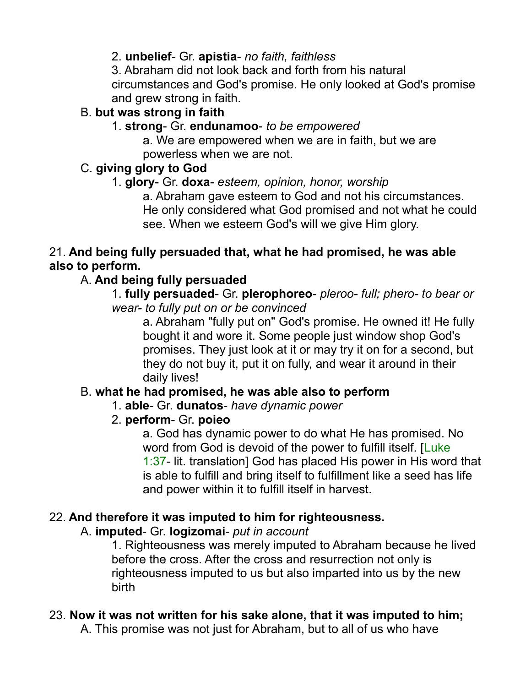### 2. **unbelief**- Gr. **apistia**- *no faith, faithless*

3. Abraham did not look back and forth from his natural circumstances and God's promise. He only looked at God's promise and grew strong in faith.

## B. **but was strong in faith**

### 1. **strong**- Gr. **endunamoo**- *to be empowered*

a. We are empowered when we are in faith, but we are powerless when we are not.

### C. **giving glory to God**

### 1. **glory**- Gr. **doxa**- *esteem, opinion, honor, worship*

a. Abraham gave esteem to God and not his circumstances. He only considered what God promised and not what he could see. When we esteem God's will we give Him glory.

#### 21. **And being fully persuaded that, what he had promised, he was able also to perform.**

# A. **And being fully persuaded**

1. **fully persuaded**- Gr. **plerophoreo**- *pleroo- full; phero- to bear or wear- to fully put on or be convinced*

a. Abraham "fully put on" God's promise. He owned it! He fully bought it and wore it. Some people just window shop God's promises. They just look at it or may try it on for a second, but they do not buy it, put it on fully, and wear it around in their daily lives!

# B. **what he had promised, he was able also to perform**

### 1. **able**- Gr. **dunatos**- *have dynamic power*

# 2. **perform**- Gr. **poieo**

a. God has dynamic power to do what He has promised. No word from God is devoid of the power to fulfill itself. [Luke] 1:37- lit. translation] God has placed His power in His word that is able to fulfill and bring itself to fulfillment like a seed has life and power within it to fulfill itself in harvest.

# 22. **And therefore it was imputed to him for righteousness.**

### A. **imputed**- Gr. **logizomai**- *put in account*

1. Righteousness was merely imputed to Abraham because he lived before the cross. After the cross and resurrection not only is righteousness imputed to us but also imparted into us by the new birth

# 23. **Now it was not written for his sake alone, that it was imputed to him;**

A. This promise was not just for Abraham, but to all of us who have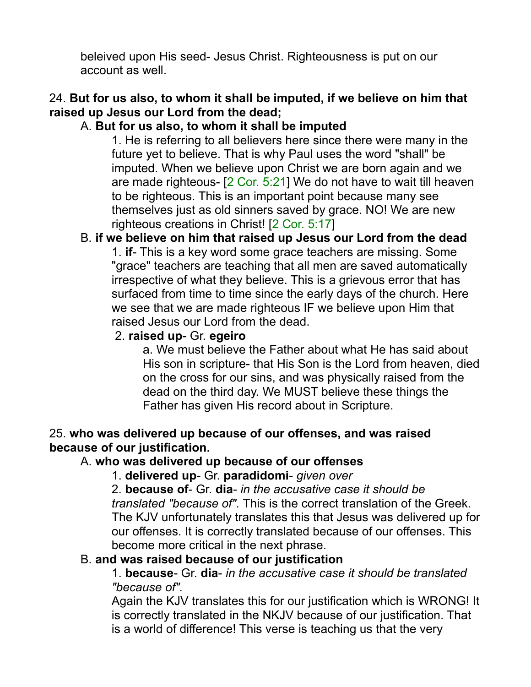beleived upon His seed- Jesus Christ. Righteousness is put on our account as well.

### 24. **But for us also, to whom it shall be imputed, if we believe on him that raised up Jesus our Lord from the dead;**

### A. **But for us also, to whom it shall be imputed**

1. He is referring to all believers here since there were many in the future yet to believe. That is why Paul uses the word "shall" be imputed. When we believe upon Christ we are born again and we are made righteous- [2 Cor. 5:21] We do not have to wait till heaven to be righteous. This is an important point because many see themselves just as old sinners saved by grace. NO! We are new righteous creations in Christ! [2 Cor. 5:17]

### B. **if we believe on him that raised up Jesus our Lord from the dead**

1. **if**- This is a key word some grace teachers are missing. Some "grace" teachers are teaching that all men are saved automatically irrespective of what they believe. This is a grievous error that has surfaced from time to time since the early days of the church. Here we see that we are made righteous IF we believe upon Him that raised Jesus our Lord from the dead.

#### 2. **raised up**- Gr. **egeiro**

a. We must believe the Father about what He has said about His son in scripture- that His Son is the Lord from heaven, died on the cross for our sins, and was physically raised from the dead on the third day. We MUST believe these things the Father has given His record about in Scripture.

#### 25. **who was delivered up because of our offenses, and was raised because of our justification.**

#### A. **who was delivered up because of our offenses**

1. **delivered up**- Gr. **paradidomi**- *given over*

2. **because of**- Gr. **dia**- *in the accusative case it should be translated "because of".* This is the correct translation of the Greek. The KJV unfortunately translates this that Jesus was delivered up for our offenses. It is correctly translated because of our offenses. This become more critical in the next phrase.

#### B. **and was raised because of our justification**

1. **because**- Gr. **dia**- *in the accusative case it should be translated "because of".*

Again the KJV translates this for our justification which is WRONG! It is correctly translated in the NKJV because of our justification. That is a world of difference! This verse is teaching us that the very